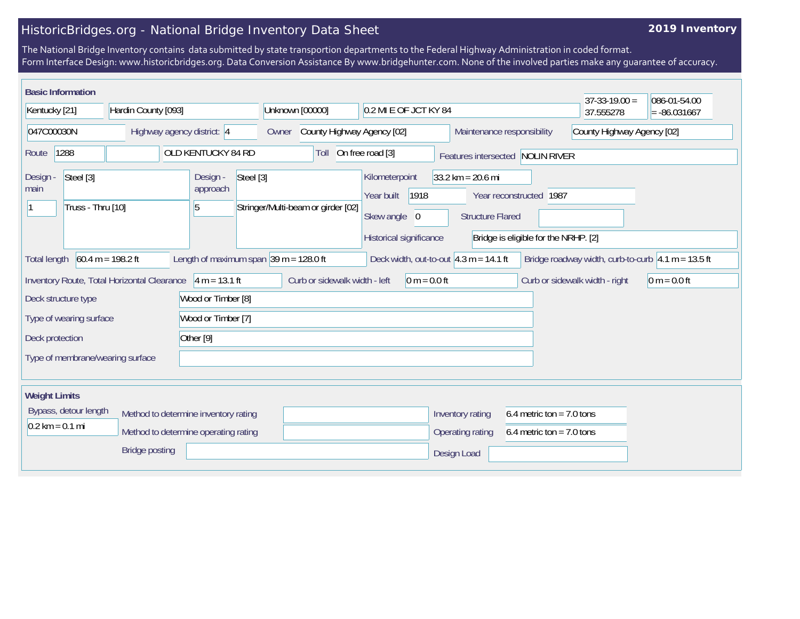## HistoricBridges.org - National Bridge Inventory Data Sheet

## **2019 Inventory**

The National Bridge Inventory contains data submitted by state transportion departments to the Federal Highway Administration in coded format. Form Interface Design: www.historicbridges.org. Data Conversion Assistance By www.bridgehunter.com. None of the involved parties make any guarantee of accuracy.

| <b>Basic Information</b>                           |                                             |                                                            |                                     |                                                                                             |                                                    | $37-33-19.00 =$                | 086-01-54.00                                                |
|----------------------------------------------------|---------------------------------------------|------------------------------------------------------------|-------------------------------------|---------------------------------------------------------------------------------------------|----------------------------------------------------|--------------------------------|-------------------------------------------------------------|
| Kentucky [21]                                      | Hardin County [093]                         |                                                            | Unknown [00000]                     | 0.2 MI E OF JCT KY 84                                                                       |                                                    | 37.555278                      | $= -86.031667$                                              |
| 047C00030N                                         | Highway agency district: 4                  |                                                            | County Highway Agency [02]<br>Owner |                                                                                             | Maintenance responsibility                         | County Highway Agency [02]     |                                                             |
| 1288<br>Route                                      |                                             | OLD KENTUCKY 84 RD                                         | Toll                                | On free road [3]                                                                            | Features intersected NOLIN RIVER                   |                                |                                                             |
| Steel [3]<br>Design -<br>main<br>Truss - Thru [10] |                                             | Steel [3]<br>Design -<br>approach<br>5                     | Stringer/Multi-beam or girder [02]  | Kilometerpoint<br>$33.2 \text{ km} = 20.6 \text{ mi}$<br>1918<br>Year built<br>Skew angle 0 | Year reconstructed 1987<br><b>Structure Flared</b> |                                |                                                             |
|                                                    |                                             |                                                            |                                     | Historical significance                                                                     | Bridge is eligible for the NRHP. [2]               |                                |                                                             |
| <b>Total length</b>                                | $60.4 m = 198.2 ft$                         | Length of maximum span $ 39 \text{ m} = 128.0 \text{ ft} $ |                                     | Deck width, out-to-out $4.3 m = 14.1 ft$                                                    |                                                    |                                | Bridge roadway width, curb-to-curb $\sqrt{4.1}$ m = 13.5 ft |
|                                                    | Inventory Route, Total Horizontal Clearance | $4 m = 13.1 ft$                                            | Curb or sidewalk width - left       | $0 m = 0.0 ft$                                                                              |                                                    | Curb or sidewalk width - right | $0 m = 0.0 ft$                                              |
| Deck structure type                                |                                             | Wood or Timber [8]                                         |                                     |                                                                                             |                                                    |                                |                                                             |
| Type of wearing surface                            |                                             | Wood or Timber [7]                                         |                                     |                                                                                             |                                                    |                                |                                                             |
| Other [9]<br>Deck protection                       |                                             |                                                            |                                     |                                                                                             |                                                    |                                |                                                             |
| Type of membrane/wearing surface                   |                                             |                                                            |                                     |                                                                                             |                                                    |                                |                                                             |
| <b>Weight Limits</b>                               |                                             |                                                            |                                     |                                                                                             |                                                    |                                |                                                             |
| Bypass, detour length                              |                                             | Method to determine inventory rating                       |                                     | Inventory rating                                                                            | 6.4 metric ton = $7.0$ tons                        |                                |                                                             |
| $0.2 \text{ km} = 0.1 \text{ mi}$                  |                                             | Method to determine operating rating                       |                                     | Operating rating                                                                            | 6.4 metric ton = $7.0$ tons                        |                                |                                                             |
|                                                    | <b>Bridge posting</b>                       |                                                            |                                     | Design Load                                                                                 |                                                    |                                |                                                             |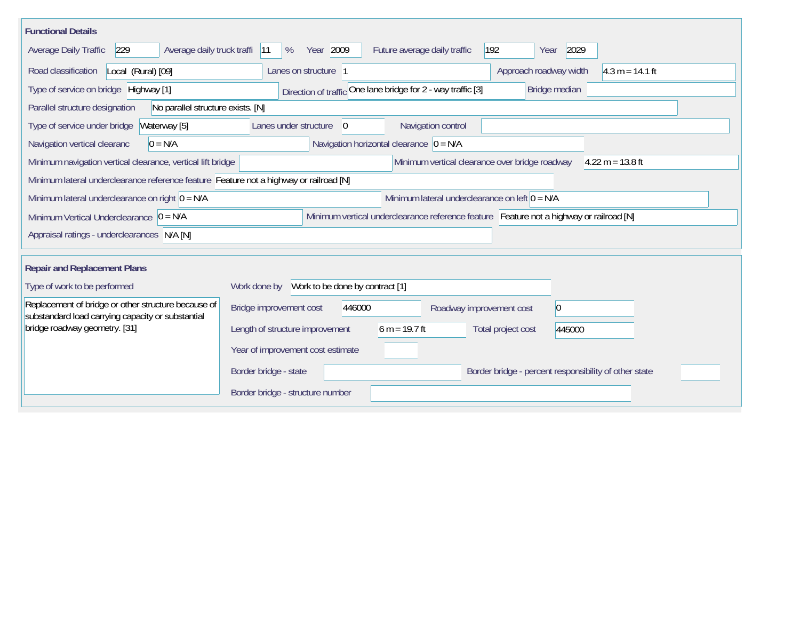| <b>Functional Details</b>                                                                                                           |                                                                                         |  |  |  |  |  |  |  |  |
|-------------------------------------------------------------------------------------------------------------------------------------|-----------------------------------------------------------------------------------------|--|--|--|--|--|--|--|--|
| Average Daily Traffic<br>229<br>Average daily truck traffi                                                                          | Year 2009<br>192<br>2029<br>%<br>Future average daily traffic<br> 11<br>Year            |  |  |  |  |  |  |  |  |
| Road classification<br>Local (Rural) [09]                                                                                           | Lanes on structure 1<br>Approach roadway width<br>$ 4.3 \text{ m} = 14.1 \text{ ft}$    |  |  |  |  |  |  |  |  |
| Type of service on bridge Highway [1]                                                                                               | Direction of traffic One lane bridge for 2 - way traffic [3]<br>Bridge median           |  |  |  |  |  |  |  |  |
| No parallel structure exists. [N]<br>Parallel structure designation                                                                 |                                                                                         |  |  |  |  |  |  |  |  |
| Type of service under bridge<br>Waterway [5]                                                                                        | Navigation control<br>Lanes under structure<br>$\overline{0}$                           |  |  |  |  |  |  |  |  |
| Navigation horizontal clearance $\vert 0 = N/A \vert$<br>$0 = N/A$<br>Navigation vertical clearanc                                  |                                                                                         |  |  |  |  |  |  |  |  |
| Minimum navigation vertical clearance, vertical lift bridge<br>Minimum vertical clearance over bridge roadway<br>$4.22 m = 13.8 ft$ |                                                                                         |  |  |  |  |  |  |  |  |
| Minimum lateral underclearance reference feature Feature not a highway or railroad [N]                                              |                                                                                         |  |  |  |  |  |  |  |  |
| Minimum lateral underclearance on right $0 = N/A$<br>Minimum lateral underclearance on left $0 = N/A$                               |                                                                                         |  |  |  |  |  |  |  |  |
| Minimum Vertical Underclearance $ 0 = N/A$                                                                                          | Minimum vertical underclearance reference feature Feature not a highway or railroad [N] |  |  |  |  |  |  |  |  |
| Appraisal ratings - underclearances N/A [N]                                                                                         |                                                                                         |  |  |  |  |  |  |  |  |
|                                                                                                                                     |                                                                                         |  |  |  |  |  |  |  |  |
| <b>Repair and Replacement Plans</b>                                                                                                 |                                                                                         |  |  |  |  |  |  |  |  |
| Type of work to be performed                                                                                                        | Work to be done by contract [1]<br>Work done by                                         |  |  |  |  |  |  |  |  |
| Replacement of bridge or other structure because of<br>substandard load carrying capacity or substantial                            | Bridge improvement cost<br>446000<br>$ 0\rangle$<br>Roadway improvement cost            |  |  |  |  |  |  |  |  |
| bridge roadway geometry. [31]                                                                                                       | Length of structure improvement<br>$6 m = 19.7 ft$<br>Total project cost<br>445000      |  |  |  |  |  |  |  |  |
|                                                                                                                                     | Year of improvement cost estimate                                                       |  |  |  |  |  |  |  |  |
|                                                                                                                                     | Border bridge - state<br>Border bridge - percent responsibility of other state          |  |  |  |  |  |  |  |  |
|                                                                                                                                     | Border bridge - structure number                                                        |  |  |  |  |  |  |  |  |